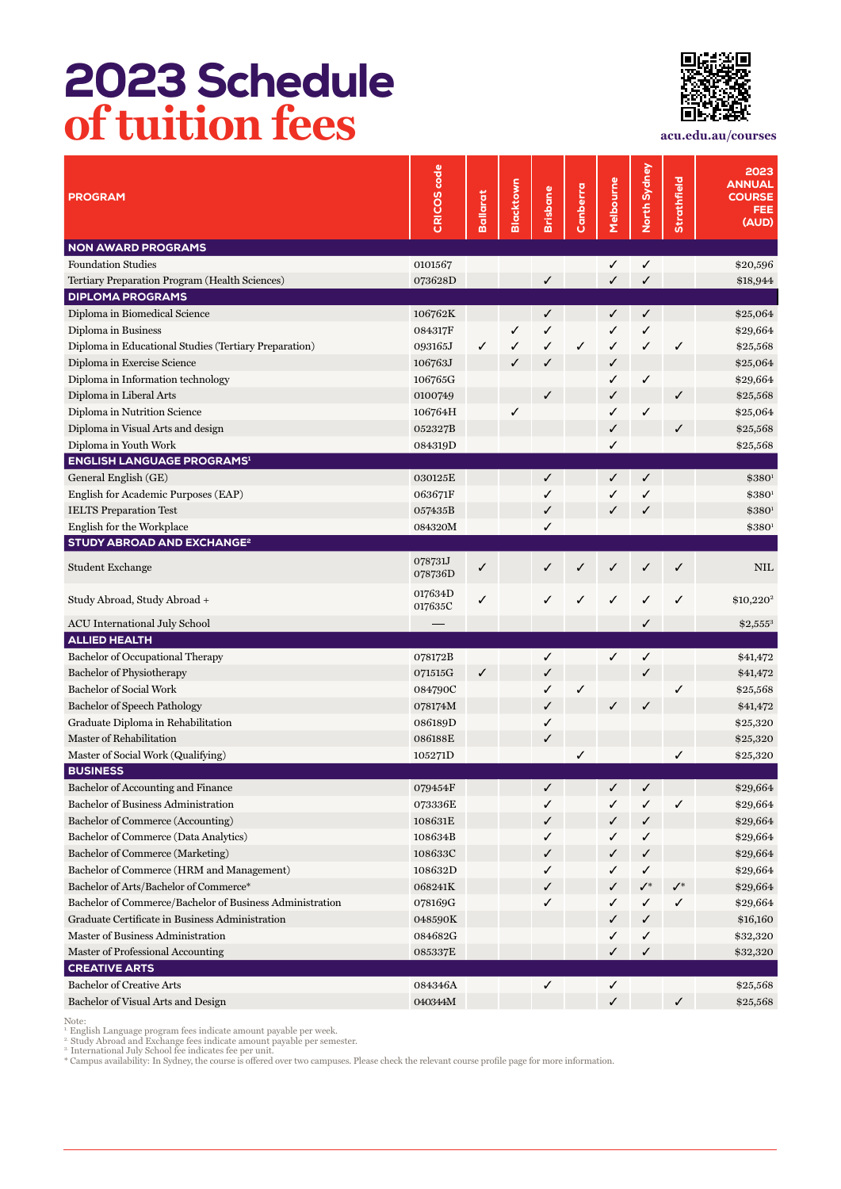## 2023 Schedule **of tuition fees acu.edu.au/courses**



| <b>PROGRAM</b>                                                                                                                                                                                                                                                                                                                                                                         | CRICOS code        | <b>Ballarat</b> | Blacktown | Brisbane | Canberra | Melbourne | North Sydney | Strathfield    | 2023<br><b>ANNUAL</b><br><b>COURSE</b><br><b>FEE</b><br>(AUD) |
|----------------------------------------------------------------------------------------------------------------------------------------------------------------------------------------------------------------------------------------------------------------------------------------------------------------------------------------------------------------------------------------|--------------------|-----------------|-----------|----------|----------|-----------|--------------|----------------|---------------------------------------------------------------|
| <b>NON AWARD PROGRAMS</b>                                                                                                                                                                                                                                                                                                                                                              |                    |                 |           |          |          |           |              |                |                                                               |
| <b>Foundation Studies</b>                                                                                                                                                                                                                                                                                                                                                              | 0101567            |                 |           |          |          | ✓         | ✓            |                | \$20,596                                                      |
| Tertiary Preparation Program (Health Sciences)                                                                                                                                                                                                                                                                                                                                         | 073628D            |                 |           | ✓        |          | ✓         | ✓            |                | \$18,944                                                      |
| <b>DIPLOMA PROGRAMS</b>                                                                                                                                                                                                                                                                                                                                                                |                    |                 |           |          |          |           |              |                |                                                               |
| Diploma in Biomedical Science                                                                                                                                                                                                                                                                                                                                                          | 106762K            |                 |           | ✓        |          | ✓         | ✓            |                | \$25,064                                                      |
| Diploma in Business                                                                                                                                                                                                                                                                                                                                                                    | 084317F            |                 | ✓         | ✓        |          | ✓         | ✓            |                | \$29,664                                                      |
| Diploma in Educational Studies (Tertiary Preparation)                                                                                                                                                                                                                                                                                                                                  | 093165J            | ✓               | ✓         | ✓        | ✓        | ✓         | ✓            | ✓              | \$25,568                                                      |
| Diploma in Exercise Science                                                                                                                                                                                                                                                                                                                                                            | 106763J            |                 | ✓         | √        |          | ✓         |              |                | \$25,064                                                      |
| Diploma in Information technology                                                                                                                                                                                                                                                                                                                                                      | 106765G            |                 |           |          |          | ✓         | ✓            |                | \$29,664                                                      |
| Diploma in Liberal Arts                                                                                                                                                                                                                                                                                                                                                                | 0100749            |                 |           | ✓        |          | ✓         |              | ✓              | \$25,568                                                      |
| Diploma in Nutrition Science                                                                                                                                                                                                                                                                                                                                                           | 106764H            |                 | ✓         |          |          | ✓         | ✓            |                | \$25,064                                                      |
| Diploma in Visual Arts and design                                                                                                                                                                                                                                                                                                                                                      | 052327B            |                 |           |          |          | √         |              | ✓              | \$25,568                                                      |
| Diploma in Youth Work                                                                                                                                                                                                                                                                                                                                                                  | 084319D            |                 |           |          |          | ✓         |              |                | \$25,568                                                      |
| <b>ENGLISH LANGUAGE PROGRAMS1</b>                                                                                                                                                                                                                                                                                                                                                      |                    |                 |           |          |          |           |              |                |                                                               |
| General English (GE)                                                                                                                                                                                                                                                                                                                                                                   | 030125E            |                 |           | ✓        |          | ✓         | ✓            |                | \$380 <sup>1</sup>                                            |
| English for Academic Purposes (EAP)                                                                                                                                                                                                                                                                                                                                                    | 063671F            |                 |           | ✓        |          | ✓         | ✓            |                | $$380^1$                                                      |
| <b>IELTS</b> Preparation Test                                                                                                                                                                                                                                                                                                                                                          | 057435B            |                 |           | ✓        |          | ✓         | ✓            |                | \$380 <sup>1</sup>                                            |
| English for the Workplace                                                                                                                                                                                                                                                                                                                                                              | 084320M            |                 |           | ✓        |          |           |              |                | $$380^1$                                                      |
| STUDY ABROAD AND EXCHANGE <sup>2</sup>                                                                                                                                                                                                                                                                                                                                                 |                    |                 |           |          |          |           |              |                |                                                               |
| Student Exchange                                                                                                                                                                                                                                                                                                                                                                       | 078731J<br>078736D | ✓               |           |          | ✓        |           |              | ✓              | <b>NIL</b>                                                    |
| Study Abroad, Study Abroad +                                                                                                                                                                                                                                                                                                                                                           | 017634D<br>017635C | ✓               |           | ✓        |          | ✓         |              | ✓              | \$10,220 <sup>2</sup>                                         |
| ACU International July School                                                                                                                                                                                                                                                                                                                                                          |                    |                 |           |          |          |           | ✓            |                | $$2,555^3$                                                    |
| <b>ALLIED HEALTH</b>                                                                                                                                                                                                                                                                                                                                                                   |                    |                 |           |          |          |           |              |                |                                                               |
| Bachelor of Occupational Therapy                                                                                                                                                                                                                                                                                                                                                       | 078172B            |                 |           | ✓        |          | ✓         | ✓            |                | \$41,472                                                      |
| Bachelor of Physiotherapy                                                                                                                                                                                                                                                                                                                                                              | 071515G            | ✓               |           | ✓        |          |           |              |                | \$41,472                                                      |
| <b>Bachelor of Social Work</b>                                                                                                                                                                                                                                                                                                                                                         | 084790C            |                 |           | ✓        | ✓        |           |              |                | \$25,568                                                      |
| <b>Bachelor of Speech Pathology</b>                                                                                                                                                                                                                                                                                                                                                    | 078174M            |                 |           | ✓        |          | ✓         |              |                | \$41,472                                                      |
| Graduate Diploma in Rehabilitation                                                                                                                                                                                                                                                                                                                                                     | 086189D            |                 |           | ✓        |          |           |              |                | \$25,320                                                      |
| Master of Rehabilitation                                                                                                                                                                                                                                                                                                                                                               | 086188E            |                 |           | ✓        |          |           |              |                | \$25,320                                                      |
| Master of Social Work (Qualifying)                                                                                                                                                                                                                                                                                                                                                     | 105271D            |                 |           |          | ✓        |           |              |                | \$25,320                                                      |
| <b>BUSINESS</b>                                                                                                                                                                                                                                                                                                                                                                        |                    |                 |           |          |          |           |              |                |                                                               |
| Bachelor of Accounting and Finance                                                                                                                                                                                                                                                                                                                                                     | 079454F            |                 |           |          |          | ℐ         | ℐ            |                | \$29,664                                                      |
| Bachelor of Business Administration                                                                                                                                                                                                                                                                                                                                                    | 073336E            |                 |           | ✓        |          | ✓         | ✓            | $\checkmark$   | \$29,664                                                      |
| Bachelor of Commerce (Accounting)                                                                                                                                                                                                                                                                                                                                                      | 108631E            |                 |           | ✓        |          | ✓         | ✓            |                | \$29,664                                                      |
| Bachelor of Commerce (Data Analytics)                                                                                                                                                                                                                                                                                                                                                  | 108634B            |                 |           | ✓        |          | ✓         | ✓            |                | \$29,664                                                      |
| Bachelor of Commerce (Marketing)                                                                                                                                                                                                                                                                                                                                                       | 108633C            |                 |           | ✓        |          | ✓         | ✓            |                | \$29,664                                                      |
| Bachelor of Commerce (HRM and Management)<br>Bachelor of Arts/Bachelor of Commerce*                                                                                                                                                                                                                                                                                                    | 108632D            |                 |           | ✓        |          | ✓         | ✓            | $\checkmark^*$ | \$29,664                                                      |
| Bachelor of Commerce/Bachelor of Business Administration                                                                                                                                                                                                                                                                                                                               | 068241K            |                 |           | ✓        |          | ✓         | ✓*           |                | \$29,664                                                      |
| Graduate Certificate in Business Administration                                                                                                                                                                                                                                                                                                                                        | 078169G            |                 |           | ✓        |          | ✓         | ✓            | ✓              | \$29,664                                                      |
| Master of Business Administration                                                                                                                                                                                                                                                                                                                                                      | 048590K<br>084682G |                 |           |          |          | ✓         | ✓            |                | \$16,160                                                      |
|                                                                                                                                                                                                                                                                                                                                                                                        |                    |                 |           |          |          | ✓<br>✓    | ✓<br>✓       |                | \$32,320                                                      |
| Master of Professional Accounting<br><b>CREATIVE ARTS</b>                                                                                                                                                                                                                                                                                                                              | 085337E            |                 |           |          |          |           |              |                | \$32,320                                                      |
| <b>Bachelor of Creative Arts</b>                                                                                                                                                                                                                                                                                                                                                       | 084346A            |                 |           | ✓        |          | ✓         |              |                | \$25,568                                                      |
| Bachelor of Visual Arts and Design                                                                                                                                                                                                                                                                                                                                                     | 040344M            |                 |           |          |          | ✓         |              | ✓              | \$25,568                                                      |
| Note:<br>English Language program fees indicate amount payable per week.<br><sup>2</sup> Study Abroad and Exchange fees indicate amount payable per semester.<br><sup>3.</sup> International July School fee indicates fee per unit.<br>* Campus availability: In Sydney, the course is offered over two campuses. Please check the relevant course profile page for more information. |                    |                 |           |          |          |           |              |                |                                                               |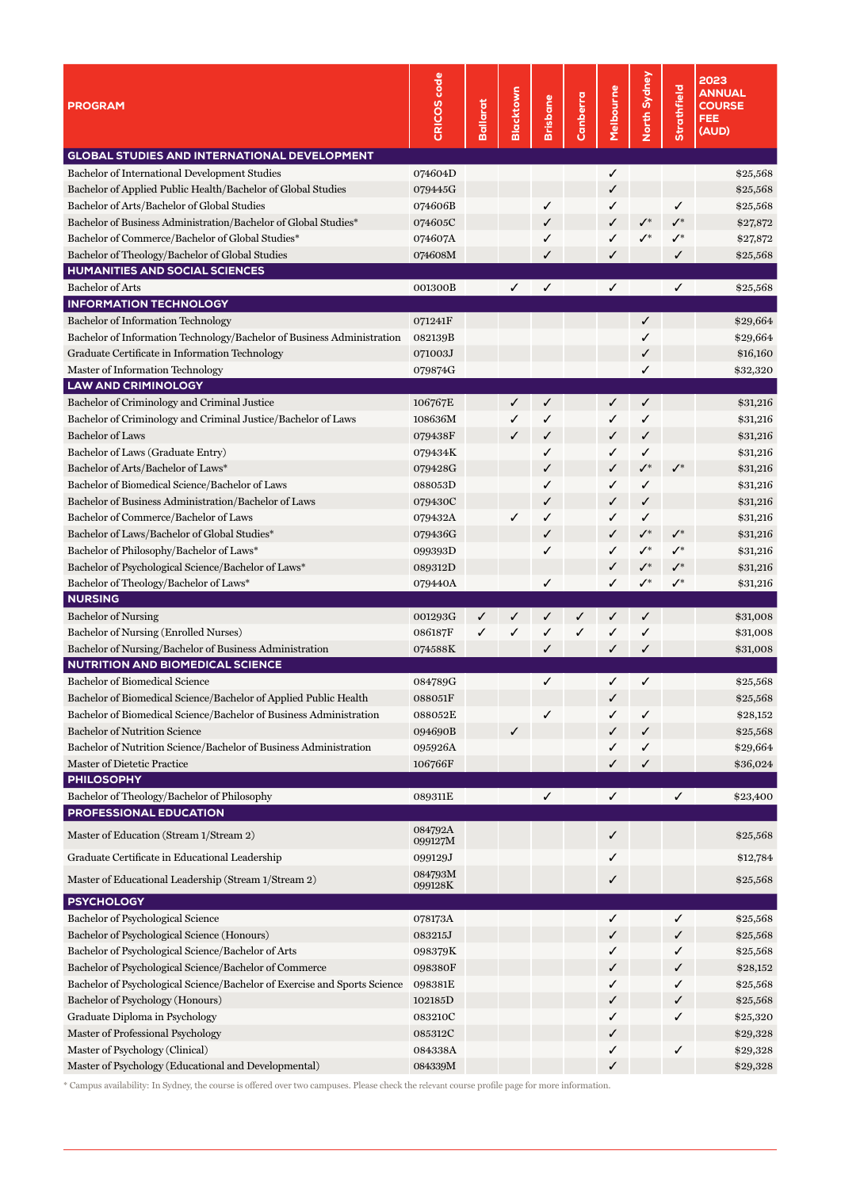| <b>GLOBAL STUDIES AND INTERNATIONAL DEVELOPMENT</b><br>074604D<br>✓<br>\$25,568<br>Bachelor of Applied Public Health/Bachelor of Global Studies<br>079445G<br>\$25,568<br>✓<br>Bachelor of Arts/Bachelor of Global Studies<br>074606B<br>✓<br>✓<br>\$25,568<br>✓<br>Bachelor of Business Administration/Bachelor of Global Studies*<br>$\checkmark^*$<br>074605C<br>$\mathcal{N}^*$<br>\$27,872<br>✓<br>✓<br>$\checkmark^*$<br>Bachelor of Commerce/Bachelor of Global Studies*<br>074607A<br>$\checkmark^*$<br>\$27,872<br>✓<br>✓<br>Bachelor of Theology/Bachelor of Global Studies<br>074608M<br>✓<br>✓<br>\$25,568<br>✓<br>HUMANITIES AND SOCIAL SCIENCES<br><b>Bachelor of Arts</b><br>✓<br>001300B<br>✓<br>✓<br>✓<br>\$25,568<br><b>INFORMATION TECHNOLOGY</b><br>071241F<br>✓<br>\$29,664<br>Bachelor of Information Technology/Bachelor of Business Administration<br>082139B<br>✓<br>\$29,664<br>Graduate Certificate in Information Technology<br>071003J<br>\$16,160<br>✓<br>079874G<br>✓<br>\$32,320<br><b>LAW AND CRIMINOLOGY</b><br>$\checkmark$<br>106767E<br>✓<br>✓<br>✓<br>\$31,216<br>Bachelor of Criminology and Criminal Justice/Bachelor of Laws<br>✓<br>108636M<br>✓<br>\$31,216<br>✓<br>✓<br><b>Bachelor of Laws</b><br>✓<br>079438F<br>✓<br>\$31,216<br>✓<br>✓<br>Bachelor of Laws (Graduate Entry)<br>079434K<br>✓<br>✓<br>✓<br>\$31,216<br>$\checkmark$<br>Bachelor of Arts/Bachelor of Laws*<br>$\checkmark^*$<br>079428G<br>✓<br>\$31,216<br>✓<br>Bachelor of Biomedical Science/Bachelor of Laws<br>088053D<br>✓<br>✓<br>✓<br>\$31,216<br>Bachelor of Business Administration/Bachelor of Laws<br>\$31,216<br>079430C<br>✓<br>✓<br>✓<br>Bachelor of Commerce/Bachelor of Laws<br>079432A<br>✓<br>✓<br>✓<br>✓<br>\$31,216<br>$\checkmark^*$<br>Bachelor of Laws/Bachelor of Global Studies*<br>$\checkmark^*$<br>\$31,216<br>079436G<br>✓<br>✓<br>Bachelor of Philosophy/Bachelor of Laws*<br>$\checkmark^*$<br>\$31,216<br>099393D<br>✓<br>✓<br>$\checkmark^*$<br>Bachelor of Psychological Science/Bachelor of Laws*<br>089312D<br>$\checkmark^*$<br>$\checkmark^*$<br>\$31,216<br>✓<br>Bachelor of Theology/Bachelor of Laws*<br>079440A<br>$\checkmark^*$<br>✓<br>✓<br>$\mathcal{N}^*$<br>\$31,216<br><b>NURSING</b><br><b>Bachelor of Nursing</b><br>001293G<br>✓<br>\$31,008<br>✓<br>✓<br>✓<br>✓<br>✓<br>Bachelor of Nursing (Enrolled Nurses)<br>086187F<br>✓<br>✓<br>✓<br>\$31,008<br>✓<br>✓<br>✓<br>Bachelor of Nursing/Bachelor of Business Administration<br>074588K<br>✓<br>✓<br>\$31,008<br>✓<br><b>NUTRITION AND BIOMEDICAL SCIENCE</b><br>Bachelor of Biomedical Science<br>✓<br>✓<br>084789G<br>✓<br>\$25,568<br>Bachelor of Biomedical Science/Bachelor of Applied Public Health<br>\$25,568<br>088051F<br>✓<br>Bachelor of Biomedical Science/Bachelor of Business Administration<br>088052E<br>✓<br>✓<br>\$28,152<br>✓<br><b>Bachelor of Nutrition Science</b><br>✓<br>094690B<br>✓<br>\$25,568<br>✓<br>Bachelor of Nutrition Science/Bachelor of Business Administration<br>✓<br>\$29,664<br>095926A<br>✓<br>106766F<br>✓<br>Master of Dietetic Practice<br>✓<br>\$36,024<br><b>PHILOSOPHY</b><br>Bachelor of Theology/Bachelor of Philosophy<br>089311E<br>✓<br>✓<br>✓<br>\$23,400<br><b>PROFESSIONAL EDUCATION</b><br>084792A<br>Master of Education (Stream 1/Stream 2)<br>\$25,568<br>✓<br>099127M<br>Graduate Certificate in Educational Leadership<br>099129J<br>✓<br>\$12,784<br>084793M<br>Master of Educational Leadership (Stream 1/Stream 2)<br>✓<br>\$25,568<br>099128K<br><b>PSYCHOLOGY</b><br>Bachelor of Psychological Science<br>✓<br>078173A<br>✓<br>\$25,568<br>Bachelor of Psychological Science (Honours)<br>083215J<br>✓<br>\$25,568<br>✓<br>Bachelor of Psychological Science/Bachelor of Arts<br>✓<br>098379K<br>✓<br>\$25,568<br>Bachelor of Psychological Science/Bachelor of Commerce<br>098380F<br>✓<br>\$28,152<br>✓<br>Bachelor of Psychological Science/Bachelor of Exercise and Sports Science<br>098381E<br>✓<br>✓<br>\$25,568<br>Bachelor of Psychology (Honours)<br>102185D<br>✓<br>\$25,568<br>✓<br>Graduate Diploma in Psychology<br>083210C<br>✓<br>✓<br>\$25,320<br>Master of Professional Psychology<br>085312C<br>\$29,328<br>✓<br>Master of Psychology (Clinical)<br>084338A<br>✓<br>✓<br>\$29,328<br>Master of Psychology (Educational and Developmental)<br>084339M<br>✓<br>\$29,328 | <b>PROGRAM</b>                                | CRICOS code | Ballarat | <b>Blacktown</b> | <b>Brisbane</b> | Canberra | Melbourne | North Sydney | Strathfield | 2023<br><b>ANNUAL</b><br><b>COURSE</b><br><b>FEE</b><br>(AUD) |
|---------------------------------------------------------------------------------------------------------------------------------------------------------------------------------------------------------------------------------------------------------------------------------------------------------------------------------------------------------------------------------------------------------------------------------------------------------------------------------------------------------------------------------------------------------------------------------------------------------------------------------------------------------------------------------------------------------------------------------------------------------------------------------------------------------------------------------------------------------------------------------------------------------------------------------------------------------------------------------------------------------------------------------------------------------------------------------------------------------------------------------------------------------------------------------------------------------------------------------------------------------------------------------------------------------------------------------------------------------------------------------------------------------------------------------------------------------------------------------------------------------------------------------------------------------------------------------------------------------------------------------------------------------------------------------------------------------------------------------------------------------------------------------------------------------------------------------------------------------------------------------------------------------------------------------------------------------------------------------------------------------------------------------------------------------------------------------------------------------------------------------------------------------------------------------------------------------------------------------------------------------------------------------------------------------------------------------------------------------------------------------------------------------------------------------------------------------------------------------------------------------------------------------------------------------------------------------------------------------------------------------------------------------------------------------------------------------------------------------------------------------------------------------------------------------------------------------------------------------------------------------------------------------------------------------------------------------------------------------------------------------------------------------------------------------------------------------------------------------------------------------------------------------------------------------------------------------------------------------------------------------------------------------------------------------------------------------------------------------------------------------------------------------------------------------------------------------------------------------------------------------------------------------------------------------------------------------------------------------------------------------------------------------------------------------------------------------------------------------------------------------------------------------------------------------------------------------------------------------------------------------------------------------------------------------------------------------------------------------------------------------------------------------------------------------------------------------------------------------------------------------------------------------------------------------------------------------------------------------------------------------------------------------------------------------------------------------------------------------------------------------|-----------------------------------------------|-------------|----------|------------------|-----------------|----------|-----------|--------------|-------------|---------------------------------------------------------------|
|                                                                                                                                                                                                                                                                                                                                                                                                                                                                                                                                                                                                                                                                                                                                                                                                                                                                                                                                                                                                                                                                                                                                                                                                                                                                                                                                                                                                                                                                                                                                                                                                                                                                                                                                                                                                                                                                                                                                                                                                                                                                                                                                                                                                                                                                                                                                                                                                                                                                                                                                                                                                                                                                                                                                                                                                                                                                                                                                                                                                                                                                                                                                                                                                                                                                                                                                                                                                                                                                                                                                                                                                                                                                                                                                                                                                                                                                                                                                                                                                                                                                                                                                                                                                                                                                                                                                                                                 |                                               |             |          |                  |                 |          |           |              |             |                                                               |
|                                                                                                                                                                                                                                                                                                                                                                                                                                                                                                                                                                                                                                                                                                                                                                                                                                                                                                                                                                                                                                                                                                                                                                                                                                                                                                                                                                                                                                                                                                                                                                                                                                                                                                                                                                                                                                                                                                                                                                                                                                                                                                                                                                                                                                                                                                                                                                                                                                                                                                                                                                                                                                                                                                                                                                                                                                                                                                                                                                                                                                                                                                                                                                                                                                                                                                                                                                                                                                                                                                                                                                                                                                                                                                                                                                                                                                                                                                                                                                                                                                                                                                                                                                                                                                                                                                                                                                                 | Bachelor of International Development Studies |             |          |                  |                 |          |           |              |             |                                                               |
|                                                                                                                                                                                                                                                                                                                                                                                                                                                                                                                                                                                                                                                                                                                                                                                                                                                                                                                                                                                                                                                                                                                                                                                                                                                                                                                                                                                                                                                                                                                                                                                                                                                                                                                                                                                                                                                                                                                                                                                                                                                                                                                                                                                                                                                                                                                                                                                                                                                                                                                                                                                                                                                                                                                                                                                                                                                                                                                                                                                                                                                                                                                                                                                                                                                                                                                                                                                                                                                                                                                                                                                                                                                                                                                                                                                                                                                                                                                                                                                                                                                                                                                                                                                                                                                                                                                                                                                 |                                               |             |          |                  |                 |          |           |              |             |                                                               |
|                                                                                                                                                                                                                                                                                                                                                                                                                                                                                                                                                                                                                                                                                                                                                                                                                                                                                                                                                                                                                                                                                                                                                                                                                                                                                                                                                                                                                                                                                                                                                                                                                                                                                                                                                                                                                                                                                                                                                                                                                                                                                                                                                                                                                                                                                                                                                                                                                                                                                                                                                                                                                                                                                                                                                                                                                                                                                                                                                                                                                                                                                                                                                                                                                                                                                                                                                                                                                                                                                                                                                                                                                                                                                                                                                                                                                                                                                                                                                                                                                                                                                                                                                                                                                                                                                                                                                                                 |                                               |             |          |                  |                 |          |           |              |             |                                                               |
|                                                                                                                                                                                                                                                                                                                                                                                                                                                                                                                                                                                                                                                                                                                                                                                                                                                                                                                                                                                                                                                                                                                                                                                                                                                                                                                                                                                                                                                                                                                                                                                                                                                                                                                                                                                                                                                                                                                                                                                                                                                                                                                                                                                                                                                                                                                                                                                                                                                                                                                                                                                                                                                                                                                                                                                                                                                                                                                                                                                                                                                                                                                                                                                                                                                                                                                                                                                                                                                                                                                                                                                                                                                                                                                                                                                                                                                                                                                                                                                                                                                                                                                                                                                                                                                                                                                                                                                 |                                               |             |          |                  |                 |          |           |              |             |                                                               |
|                                                                                                                                                                                                                                                                                                                                                                                                                                                                                                                                                                                                                                                                                                                                                                                                                                                                                                                                                                                                                                                                                                                                                                                                                                                                                                                                                                                                                                                                                                                                                                                                                                                                                                                                                                                                                                                                                                                                                                                                                                                                                                                                                                                                                                                                                                                                                                                                                                                                                                                                                                                                                                                                                                                                                                                                                                                                                                                                                                                                                                                                                                                                                                                                                                                                                                                                                                                                                                                                                                                                                                                                                                                                                                                                                                                                                                                                                                                                                                                                                                                                                                                                                                                                                                                                                                                                                                                 |                                               |             |          |                  |                 |          |           |              |             |                                                               |
|                                                                                                                                                                                                                                                                                                                                                                                                                                                                                                                                                                                                                                                                                                                                                                                                                                                                                                                                                                                                                                                                                                                                                                                                                                                                                                                                                                                                                                                                                                                                                                                                                                                                                                                                                                                                                                                                                                                                                                                                                                                                                                                                                                                                                                                                                                                                                                                                                                                                                                                                                                                                                                                                                                                                                                                                                                                                                                                                                                                                                                                                                                                                                                                                                                                                                                                                                                                                                                                                                                                                                                                                                                                                                                                                                                                                                                                                                                                                                                                                                                                                                                                                                                                                                                                                                                                                                                                 |                                               |             |          |                  |                 |          |           |              |             |                                                               |
|                                                                                                                                                                                                                                                                                                                                                                                                                                                                                                                                                                                                                                                                                                                                                                                                                                                                                                                                                                                                                                                                                                                                                                                                                                                                                                                                                                                                                                                                                                                                                                                                                                                                                                                                                                                                                                                                                                                                                                                                                                                                                                                                                                                                                                                                                                                                                                                                                                                                                                                                                                                                                                                                                                                                                                                                                                                                                                                                                                                                                                                                                                                                                                                                                                                                                                                                                                                                                                                                                                                                                                                                                                                                                                                                                                                                                                                                                                                                                                                                                                                                                                                                                                                                                                                                                                                                                                                 |                                               |             |          |                  |                 |          |           |              |             |                                                               |
|                                                                                                                                                                                                                                                                                                                                                                                                                                                                                                                                                                                                                                                                                                                                                                                                                                                                                                                                                                                                                                                                                                                                                                                                                                                                                                                                                                                                                                                                                                                                                                                                                                                                                                                                                                                                                                                                                                                                                                                                                                                                                                                                                                                                                                                                                                                                                                                                                                                                                                                                                                                                                                                                                                                                                                                                                                                                                                                                                                                                                                                                                                                                                                                                                                                                                                                                                                                                                                                                                                                                                                                                                                                                                                                                                                                                                                                                                                                                                                                                                                                                                                                                                                                                                                                                                                                                                                                 |                                               |             |          |                  |                 |          |           |              |             |                                                               |
|                                                                                                                                                                                                                                                                                                                                                                                                                                                                                                                                                                                                                                                                                                                                                                                                                                                                                                                                                                                                                                                                                                                                                                                                                                                                                                                                                                                                                                                                                                                                                                                                                                                                                                                                                                                                                                                                                                                                                                                                                                                                                                                                                                                                                                                                                                                                                                                                                                                                                                                                                                                                                                                                                                                                                                                                                                                                                                                                                                                                                                                                                                                                                                                                                                                                                                                                                                                                                                                                                                                                                                                                                                                                                                                                                                                                                                                                                                                                                                                                                                                                                                                                                                                                                                                                                                                                                                                 |                                               |             |          |                  |                 |          |           |              |             |                                                               |
|                                                                                                                                                                                                                                                                                                                                                                                                                                                                                                                                                                                                                                                                                                                                                                                                                                                                                                                                                                                                                                                                                                                                                                                                                                                                                                                                                                                                                                                                                                                                                                                                                                                                                                                                                                                                                                                                                                                                                                                                                                                                                                                                                                                                                                                                                                                                                                                                                                                                                                                                                                                                                                                                                                                                                                                                                                                                                                                                                                                                                                                                                                                                                                                                                                                                                                                                                                                                                                                                                                                                                                                                                                                                                                                                                                                                                                                                                                                                                                                                                                                                                                                                                                                                                                                                                                                                                                                 | Bachelor of Information Technology            |             |          |                  |                 |          |           |              |             |                                                               |
|                                                                                                                                                                                                                                                                                                                                                                                                                                                                                                                                                                                                                                                                                                                                                                                                                                                                                                                                                                                                                                                                                                                                                                                                                                                                                                                                                                                                                                                                                                                                                                                                                                                                                                                                                                                                                                                                                                                                                                                                                                                                                                                                                                                                                                                                                                                                                                                                                                                                                                                                                                                                                                                                                                                                                                                                                                                                                                                                                                                                                                                                                                                                                                                                                                                                                                                                                                                                                                                                                                                                                                                                                                                                                                                                                                                                                                                                                                                                                                                                                                                                                                                                                                                                                                                                                                                                                                                 |                                               |             |          |                  |                 |          |           |              |             |                                                               |
|                                                                                                                                                                                                                                                                                                                                                                                                                                                                                                                                                                                                                                                                                                                                                                                                                                                                                                                                                                                                                                                                                                                                                                                                                                                                                                                                                                                                                                                                                                                                                                                                                                                                                                                                                                                                                                                                                                                                                                                                                                                                                                                                                                                                                                                                                                                                                                                                                                                                                                                                                                                                                                                                                                                                                                                                                                                                                                                                                                                                                                                                                                                                                                                                                                                                                                                                                                                                                                                                                                                                                                                                                                                                                                                                                                                                                                                                                                                                                                                                                                                                                                                                                                                                                                                                                                                                                                                 |                                               |             |          |                  |                 |          |           |              |             |                                                               |
|                                                                                                                                                                                                                                                                                                                                                                                                                                                                                                                                                                                                                                                                                                                                                                                                                                                                                                                                                                                                                                                                                                                                                                                                                                                                                                                                                                                                                                                                                                                                                                                                                                                                                                                                                                                                                                                                                                                                                                                                                                                                                                                                                                                                                                                                                                                                                                                                                                                                                                                                                                                                                                                                                                                                                                                                                                                                                                                                                                                                                                                                                                                                                                                                                                                                                                                                                                                                                                                                                                                                                                                                                                                                                                                                                                                                                                                                                                                                                                                                                                                                                                                                                                                                                                                                                                                                                                                 | Master of Information Technology              |             |          |                  |                 |          |           |              |             |                                                               |
|                                                                                                                                                                                                                                                                                                                                                                                                                                                                                                                                                                                                                                                                                                                                                                                                                                                                                                                                                                                                                                                                                                                                                                                                                                                                                                                                                                                                                                                                                                                                                                                                                                                                                                                                                                                                                                                                                                                                                                                                                                                                                                                                                                                                                                                                                                                                                                                                                                                                                                                                                                                                                                                                                                                                                                                                                                                                                                                                                                                                                                                                                                                                                                                                                                                                                                                                                                                                                                                                                                                                                                                                                                                                                                                                                                                                                                                                                                                                                                                                                                                                                                                                                                                                                                                                                                                                                                                 |                                               |             |          |                  |                 |          |           |              |             |                                                               |
|                                                                                                                                                                                                                                                                                                                                                                                                                                                                                                                                                                                                                                                                                                                                                                                                                                                                                                                                                                                                                                                                                                                                                                                                                                                                                                                                                                                                                                                                                                                                                                                                                                                                                                                                                                                                                                                                                                                                                                                                                                                                                                                                                                                                                                                                                                                                                                                                                                                                                                                                                                                                                                                                                                                                                                                                                                                                                                                                                                                                                                                                                                                                                                                                                                                                                                                                                                                                                                                                                                                                                                                                                                                                                                                                                                                                                                                                                                                                                                                                                                                                                                                                                                                                                                                                                                                                                                                 | Bachelor of Criminology and Criminal Justice  |             |          |                  |                 |          |           |              |             |                                                               |
|                                                                                                                                                                                                                                                                                                                                                                                                                                                                                                                                                                                                                                                                                                                                                                                                                                                                                                                                                                                                                                                                                                                                                                                                                                                                                                                                                                                                                                                                                                                                                                                                                                                                                                                                                                                                                                                                                                                                                                                                                                                                                                                                                                                                                                                                                                                                                                                                                                                                                                                                                                                                                                                                                                                                                                                                                                                                                                                                                                                                                                                                                                                                                                                                                                                                                                                                                                                                                                                                                                                                                                                                                                                                                                                                                                                                                                                                                                                                                                                                                                                                                                                                                                                                                                                                                                                                                                                 |                                               |             |          |                  |                 |          |           |              |             |                                                               |
|                                                                                                                                                                                                                                                                                                                                                                                                                                                                                                                                                                                                                                                                                                                                                                                                                                                                                                                                                                                                                                                                                                                                                                                                                                                                                                                                                                                                                                                                                                                                                                                                                                                                                                                                                                                                                                                                                                                                                                                                                                                                                                                                                                                                                                                                                                                                                                                                                                                                                                                                                                                                                                                                                                                                                                                                                                                                                                                                                                                                                                                                                                                                                                                                                                                                                                                                                                                                                                                                                                                                                                                                                                                                                                                                                                                                                                                                                                                                                                                                                                                                                                                                                                                                                                                                                                                                                                                 |                                               |             |          |                  |                 |          |           |              |             |                                                               |
|                                                                                                                                                                                                                                                                                                                                                                                                                                                                                                                                                                                                                                                                                                                                                                                                                                                                                                                                                                                                                                                                                                                                                                                                                                                                                                                                                                                                                                                                                                                                                                                                                                                                                                                                                                                                                                                                                                                                                                                                                                                                                                                                                                                                                                                                                                                                                                                                                                                                                                                                                                                                                                                                                                                                                                                                                                                                                                                                                                                                                                                                                                                                                                                                                                                                                                                                                                                                                                                                                                                                                                                                                                                                                                                                                                                                                                                                                                                                                                                                                                                                                                                                                                                                                                                                                                                                                                                 |                                               |             |          |                  |                 |          |           |              |             |                                                               |
|                                                                                                                                                                                                                                                                                                                                                                                                                                                                                                                                                                                                                                                                                                                                                                                                                                                                                                                                                                                                                                                                                                                                                                                                                                                                                                                                                                                                                                                                                                                                                                                                                                                                                                                                                                                                                                                                                                                                                                                                                                                                                                                                                                                                                                                                                                                                                                                                                                                                                                                                                                                                                                                                                                                                                                                                                                                                                                                                                                                                                                                                                                                                                                                                                                                                                                                                                                                                                                                                                                                                                                                                                                                                                                                                                                                                                                                                                                                                                                                                                                                                                                                                                                                                                                                                                                                                                                                 |                                               |             |          |                  |                 |          |           |              |             |                                                               |
|                                                                                                                                                                                                                                                                                                                                                                                                                                                                                                                                                                                                                                                                                                                                                                                                                                                                                                                                                                                                                                                                                                                                                                                                                                                                                                                                                                                                                                                                                                                                                                                                                                                                                                                                                                                                                                                                                                                                                                                                                                                                                                                                                                                                                                                                                                                                                                                                                                                                                                                                                                                                                                                                                                                                                                                                                                                                                                                                                                                                                                                                                                                                                                                                                                                                                                                                                                                                                                                                                                                                                                                                                                                                                                                                                                                                                                                                                                                                                                                                                                                                                                                                                                                                                                                                                                                                                                                 |                                               |             |          |                  |                 |          |           |              |             |                                                               |
|                                                                                                                                                                                                                                                                                                                                                                                                                                                                                                                                                                                                                                                                                                                                                                                                                                                                                                                                                                                                                                                                                                                                                                                                                                                                                                                                                                                                                                                                                                                                                                                                                                                                                                                                                                                                                                                                                                                                                                                                                                                                                                                                                                                                                                                                                                                                                                                                                                                                                                                                                                                                                                                                                                                                                                                                                                                                                                                                                                                                                                                                                                                                                                                                                                                                                                                                                                                                                                                                                                                                                                                                                                                                                                                                                                                                                                                                                                                                                                                                                                                                                                                                                                                                                                                                                                                                                                                 |                                               |             |          |                  |                 |          |           |              |             |                                                               |
|                                                                                                                                                                                                                                                                                                                                                                                                                                                                                                                                                                                                                                                                                                                                                                                                                                                                                                                                                                                                                                                                                                                                                                                                                                                                                                                                                                                                                                                                                                                                                                                                                                                                                                                                                                                                                                                                                                                                                                                                                                                                                                                                                                                                                                                                                                                                                                                                                                                                                                                                                                                                                                                                                                                                                                                                                                                                                                                                                                                                                                                                                                                                                                                                                                                                                                                                                                                                                                                                                                                                                                                                                                                                                                                                                                                                                                                                                                                                                                                                                                                                                                                                                                                                                                                                                                                                                                                 |                                               |             |          |                  |                 |          |           |              |             |                                                               |
|                                                                                                                                                                                                                                                                                                                                                                                                                                                                                                                                                                                                                                                                                                                                                                                                                                                                                                                                                                                                                                                                                                                                                                                                                                                                                                                                                                                                                                                                                                                                                                                                                                                                                                                                                                                                                                                                                                                                                                                                                                                                                                                                                                                                                                                                                                                                                                                                                                                                                                                                                                                                                                                                                                                                                                                                                                                                                                                                                                                                                                                                                                                                                                                                                                                                                                                                                                                                                                                                                                                                                                                                                                                                                                                                                                                                                                                                                                                                                                                                                                                                                                                                                                                                                                                                                                                                                                                 |                                               |             |          |                  |                 |          |           |              |             |                                                               |
|                                                                                                                                                                                                                                                                                                                                                                                                                                                                                                                                                                                                                                                                                                                                                                                                                                                                                                                                                                                                                                                                                                                                                                                                                                                                                                                                                                                                                                                                                                                                                                                                                                                                                                                                                                                                                                                                                                                                                                                                                                                                                                                                                                                                                                                                                                                                                                                                                                                                                                                                                                                                                                                                                                                                                                                                                                                                                                                                                                                                                                                                                                                                                                                                                                                                                                                                                                                                                                                                                                                                                                                                                                                                                                                                                                                                                                                                                                                                                                                                                                                                                                                                                                                                                                                                                                                                                                                 |                                               |             |          |                  |                 |          |           |              |             |                                                               |
|                                                                                                                                                                                                                                                                                                                                                                                                                                                                                                                                                                                                                                                                                                                                                                                                                                                                                                                                                                                                                                                                                                                                                                                                                                                                                                                                                                                                                                                                                                                                                                                                                                                                                                                                                                                                                                                                                                                                                                                                                                                                                                                                                                                                                                                                                                                                                                                                                                                                                                                                                                                                                                                                                                                                                                                                                                                                                                                                                                                                                                                                                                                                                                                                                                                                                                                                                                                                                                                                                                                                                                                                                                                                                                                                                                                                                                                                                                                                                                                                                                                                                                                                                                                                                                                                                                                                                                                 |                                               |             |          |                  |                 |          |           |              |             |                                                               |
|                                                                                                                                                                                                                                                                                                                                                                                                                                                                                                                                                                                                                                                                                                                                                                                                                                                                                                                                                                                                                                                                                                                                                                                                                                                                                                                                                                                                                                                                                                                                                                                                                                                                                                                                                                                                                                                                                                                                                                                                                                                                                                                                                                                                                                                                                                                                                                                                                                                                                                                                                                                                                                                                                                                                                                                                                                                                                                                                                                                                                                                                                                                                                                                                                                                                                                                                                                                                                                                                                                                                                                                                                                                                                                                                                                                                                                                                                                                                                                                                                                                                                                                                                                                                                                                                                                                                                                                 |                                               |             |          |                  |                 |          |           |              |             |                                                               |
|                                                                                                                                                                                                                                                                                                                                                                                                                                                                                                                                                                                                                                                                                                                                                                                                                                                                                                                                                                                                                                                                                                                                                                                                                                                                                                                                                                                                                                                                                                                                                                                                                                                                                                                                                                                                                                                                                                                                                                                                                                                                                                                                                                                                                                                                                                                                                                                                                                                                                                                                                                                                                                                                                                                                                                                                                                                                                                                                                                                                                                                                                                                                                                                                                                                                                                                                                                                                                                                                                                                                                                                                                                                                                                                                                                                                                                                                                                                                                                                                                                                                                                                                                                                                                                                                                                                                                                                 |                                               |             |          |                  |                 |          |           |              |             |                                                               |
|                                                                                                                                                                                                                                                                                                                                                                                                                                                                                                                                                                                                                                                                                                                                                                                                                                                                                                                                                                                                                                                                                                                                                                                                                                                                                                                                                                                                                                                                                                                                                                                                                                                                                                                                                                                                                                                                                                                                                                                                                                                                                                                                                                                                                                                                                                                                                                                                                                                                                                                                                                                                                                                                                                                                                                                                                                                                                                                                                                                                                                                                                                                                                                                                                                                                                                                                                                                                                                                                                                                                                                                                                                                                                                                                                                                                                                                                                                                                                                                                                                                                                                                                                                                                                                                                                                                                                                                 |                                               |             |          |                  |                 |          |           |              |             |                                                               |
|                                                                                                                                                                                                                                                                                                                                                                                                                                                                                                                                                                                                                                                                                                                                                                                                                                                                                                                                                                                                                                                                                                                                                                                                                                                                                                                                                                                                                                                                                                                                                                                                                                                                                                                                                                                                                                                                                                                                                                                                                                                                                                                                                                                                                                                                                                                                                                                                                                                                                                                                                                                                                                                                                                                                                                                                                                                                                                                                                                                                                                                                                                                                                                                                                                                                                                                                                                                                                                                                                                                                                                                                                                                                                                                                                                                                                                                                                                                                                                                                                                                                                                                                                                                                                                                                                                                                                                                 |                                               |             |          |                  |                 |          |           |              |             |                                                               |
|                                                                                                                                                                                                                                                                                                                                                                                                                                                                                                                                                                                                                                                                                                                                                                                                                                                                                                                                                                                                                                                                                                                                                                                                                                                                                                                                                                                                                                                                                                                                                                                                                                                                                                                                                                                                                                                                                                                                                                                                                                                                                                                                                                                                                                                                                                                                                                                                                                                                                                                                                                                                                                                                                                                                                                                                                                                                                                                                                                                                                                                                                                                                                                                                                                                                                                                                                                                                                                                                                                                                                                                                                                                                                                                                                                                                                                                                                                                                                                                                                                                                                                                                                                                                                                                                                                                                                                                 |                                               |             |          |                  |                 |          |           |              |             |                                                               |
|                                                                                                                                                                                                                                                                                                                                                                                                                                                                                                                                                                                                                                                                                                                                                                                                                                                                                                                                                                                                                                                                                                                                                                                                                                                                                                                                                                                                                                                                                                                                                                                                                                                                                                                                                                                                                                                                                                                                                                                                                                                                                                                                                                                                                                                                                                                                                                                                                                                                                                                                                                                                                                                                                                                                                                                                                                                                                                                                                                                                                                                                                                                                                                                                                                                                                                                                                                                                                                                                                                                                                                                                                                                                                                                                                                                                                                                                                                                                                                                                                                                                                                                                                                                                                                                                                                                                                                                 |                                               |             |          |                  |                 |          |           |              |             |                                                               |
|                                                                                                                                                                                                                                                                                                                                                                                                                                                                                                                                                                                                                                                                                                                                                                                                                                                                                                                                                                                                                                                                                                                                                                                                                                                                                                                                                                                                                                                                                                                                                                                                                                                                                                                                                                                                                                                                                                                                                                                                                                                                                                                                                                                                                                                                                                                                                                                                                                                                                                                                                                                                                                                                                                                                                                                                                                                                                                                                                                                                                                                                                                                                                                                                                                                                                                                                                                                                                                                                                                                                                                                                                                                                                                                                                                                                                                                                                                                                                                                                                                                                                                                                                                                                                                                                                                                                                                                 |                                               |             |          |                  |                 |          |           |              |             |                                                               |
|                                                                                                                                                                                                                                                                                                                                                                                                                                                                                                                                                                                                                                                                                                                                                                                                                                                                                                                                                                                                                                                                                                                                                                                                                                                                                                                                                                                                                                                                                                                                                                                                                                                                                                                                                                                                                                                                                                                                                                                                                                                                                                                                                                                                                                                                                                                                                                                                                                                                                                                                                                                                                                                                                                                                                                                                                                                                                                                                                                                                                                                                                                                                                                                                                                                                                                                                                                                                                                                                                                                                                                                                                                                                                                                                                                                                                                                                                                                                                                                                                                                                                                                                                                                                                                                                                                                                                                                 |                                               |             |          |                  |                 |          |           |              |             |                                                               |
|                                                                                                                                                                                                                                                                                                                                                                                                                                                                                                                                                                                                                                                                                                                                                                                                                                                                                                                                                                                                                                                                                                                                                                                                                                                                                                                                                                                                                                                                                                                                                                                                                                                                                                                                                                                                                                                                                                                                                                                                                                                                                                                                                                                                                                                                                                                                                                                                                                                                                                                                                                                                                                                                                                                                                                                                                                                                                                                                                                                                                                                                                                                                                                                                                                                                                                                                                                                                                                                                                                                                                                                                                                                                                                                                                                                                                                                                                                                                                                                                                                                                                                                                                                                                                                                                                                                                                                                 |                                               |             |          |                  |                 |          |           |              |             |                                                               |
|                                                                                                                                                                                                                                                                                                                                                                                                                                                                                                                                                                                                                                                                                                                                                                                                                                                                                                                                                                                                                                                                                                                                                                                                                                                                                                                                                                                                                                                                                                                                                                                                                                                                                                                                                                                                                                                                                                                                                                                                                                                                                                                                                                                                                                                                                                                                                                                                                                                                                                                                                                                                                                                                                                                                                                                                                                                                                                                                                                                                                                                                                                                                                                                                                                                                                                                                                                                                                                                                                                                                                                                                                                                                                                                                                                                                                                                                                                                                                                                                                                                                                                                                                                                                                                                                                                                                                                                 |                                               |             |          |                  |                 |          |           |              |             |                                                               |
|                                                                                                                                                                                                                                                                                                                                                                                                                                                                                                                                                                                                                                                                                                                                                                                                                                                                                                                                                                                                                                                                                                                                                                                                                                                                                                                                                                                                                                                                                                                                                                                                                                                                                                                                                                                                                                                                                                                                                                                                                                                                                                                                                                                                                                                                                                                                                                                                                                                                                                                                                                                                                                                                                                                                                                                                                                                                                                                                                                                                                                                                                                                                                                                                                                                                                                                                                                                                                                                                                                                                                                                                                                                                                                                                                                                                                                                                                                                                                                                                                                                                                                                                                                                                                                                                                                                                                                                 |                                               |             |          |                  |                 |          |           |              |             |                                                               |
|                                                                                                                                                                                                                                                                                                                                                                                                                                                                                                                                                                                                                                                                                                                                                                                                                                                                                                                                                                                                                                                                                                                                                                                                                                                                                                                                                                                                                                                                                                                                                                                                                                                                                                                                                                                                                                                                                                                                                                                                                                                                                                                                                                                                                                                                                                                                                                                                                                                                                                                                                                                                                                                                                                                                                                                                                                                                                                                                                                                                                                                                                                                                                                                                                                                                                                                                                                                                                                                                                                                                                                                                                                                                                                                                                                                                                                                                                                                                                                                                                                                                                                                                                                                                                                                                                                                                                                                 |                                               |             |          |                  |                 |          |           |              |             |                                                               |
|                                                                                                                                                                                                                                                                                                                                                                                                                                                                                                                                                                                                                                                                                                                                                                                                                                                                                                                                                                                                                                                                                                                                                                                                                                                                                                                                                                                                                                                                                                                                                                                                                                                                                                                                                                                                                                                                                                                                                                                                                                                                                                                                                                                                                                                                                                                                                                                                                                                                                                                                                                                                                                                                                                                                                                                                                                                                                                                                                                                                                                                                                                                                                                                                                                                                                                                                                                                                                                                                                                                                                                                                                                                                                                                                                                                                                                                                                                                                                                                                                                                                                                                                                                                                                                                                                                                                                                                 |                                               |             |          |                  |                 |          |           |              |             |                                                               |
|                                                                                                                                                                                                                                                                                                                                                                                                                                                                                                                                                                                                                                                                                                                                                                                                                                                                                                                                                                                                                                                                                                                                                                                                                                                                                                                                                                                                                                                                                                                                                                                                                                                                                                                                                                                                                                                                                                                                                                                                                                                                                                                                                                                                                                                                                                                                                                                                                                                                                                                                                                                                                                                                                                                                                                                                                                                                                                                                                                                                                                                                                                                                                                                                                                                                                                                                                                                                                                                                                                                                                                                                                                                                                                                                                                                                                                                                                                                                                                                                                                                                                                                                                                                                                                                                                                                                                                                 |                                               |             |          |                  |                 |          |           |              |             |                                                               |
|                                                                                                                                                                                                                                                                                                                                                                                                                                                                                                                                                                                                                                                                                                                                                                                                                                                                                                                                                                                                                                                                                                                                                                                                                                                                                                                                                                                                                                                                                                                                                                                                                                                                                                                                                                                                                                                                                                                                                                                                                                                                                                                                                                                                                                                                                                                                                                                                                                                                                                                                                                                                                                                                                                                                                                                                                                                                                                                                                                                                                                                                                                                                                                                                                                                                                                                                                                                                                                                                                                                                                                                                                                                                                                                                                                                                                                                                                                                                                                                                                                                                                                                                                                                                                                                                                                                                                                                 |                                               |             |          |                  |                 |          |           |              |             |                                                               |
|                                                                                                                                                                                                                                                                                                                                                                                                                                                                                                                                                                                                                                                                                                                                                                                                                                                                                                                                                                                                                                                                                                                                                                                                                                                                                                                                                                                                                                                                                                                                                                                                                                                                                                                                                                                                                                                                                                                                                                                                                                                                                                                                                                                                                                                                                                                                                                                                                                                                                                                                                                                                                                                                                                                                                                                                                                                                                                                                                                                                                                                                                                                                                                                                                                                                                                                                                                                                                                                                                                                                                                                                                                                                                                                                                                                                                                                                                                                                                                                                                                                                                                                                                                                                                                                                                                                                                                                 |                                               |             |          |                  |                 |          |           |              |             |                                                               |
|                                                                                                                                                                                                                                                                                                                                                                                                                                                                                                                                                                                                                                                                                                                                                                                                                                                                                                                                                                                                                                                                                                                                                                                                                                                                                                                                                                                                                                                                                                                                                                                                                                                                                                                                                                                                                                                                                                                                                                                                                                                                                                                                                                                                                                                                                                                                                                                                                                                                                                                                                                                                                                                                                                                                                                                                                                                                                                                                                                                                                                                                                                                                                                                                                                                                                                                                                                                                                                                                                                                                                                                                                                                                                                                                                                                                                                                                                                                                                                                                                                                                                                                                                                                                                                                                                                                                                                                 |                                               |             |          |                  |                 |          |           |              |             |                                                               |
|                                                                                                                                                                                                                                                                                                                                                                                                                                                                                                                                                                                                                                                                                                                                                                                                                                                                                                                                                                                                                                                                                                                                                                                                                                                                                                                                                                                                                                                                                                                                                                                                                                                                                                                                                                                                                                                                                                                                                                                                                                                                                                                                                                                                                                                                                                                                                                                                                                                                                                                                                                                                                                                                                                                                                                                                                                                                                                                                                                                                                                                                                                                                                                                                                                                                                                                                                                                                                                                                                                                                                                                                                                                                                                                                                                                                                                                                                                                                                                                                                                                                                                                                                                                                                                                                                                                                                                                 |                                               |             |          |                  |                 |          |           |              |             |                                                               |
|                                                                                                                                                                                                                                                                                                                                                                                                                                                                                                                                                                                                                                                                                                                                                                                                                                                                                                                                                                                                                                                                                                                                                                                                                                                                                                                                                                                                                                                                                                                                                                                                                                                                                                                                                                                                                                                                                                                                                                                                                                                                                                                                                                                                                                                                                                                                                                                                                                                                                                                                                                                                                                                                                                                                                                                                                                                                                                                                                                                                                                                                                                                                                                                                                                                                                                                                                                                                                                                                                                                                                                                                                                                                                                                                                                                                                                                                                                                                                                                                                                                                                                                                                                                                                                                                                                                                                                                 |                                               |             |          |                  |                 |          |           |              |             |                                                               |
|                                                                                                                                                                                                                                                                                                                                                                                                                                                                                                                                                                                                                                                                                                                                                                                                                                                                                                                                                                                                                                                                                                                                                                                                                                                                                                                                                                                                                                                                                                                                                                                                                                                                                                                                                                                                                                                                                                                                                                                                                                                                                                                                                                                                                                                                                                                                                                                                                                                                                                                                                                                                                                                                                                                                                                                                                                                                                                                                                                                                                                                                                                                                                                                                                                                                                                                                                                                                                                                                                                                                                                                                                                                                                                                                                                                                                                                                                                                                                                                                                                                                                                                                                                                                                                                                                                                                                                                 |                                               |             |          |                  |                 |          |           |              |             |                                                               |
|                                                                                                                                                                                                                                                                                                                                                                                                                                                                                                                                                                                                                                                                                                                                                                                                                                                                                                                                                                                                                                                                                                                                                                                                                                                                                                                                                                                                                                                                                                                                                                                                                                                                                                                                                                                                                                                                                                                                                                                                                                                                                                                                                                                                                                                                                                                                                                                                                                                                                                                                                                                                                                                                                                                                                                                                                                                                                                                                                                                                                                                                                                                                                                                                                                                                                                                                                                                                                                                                                                                                                                                                                                                                                                                                                                                                                                                                                                                                                                                                                                                                                                                                                                                                                                                                                                                                                                                 |                                               |             |          |                  |                 |          |           |              |             |                                                               |
|                                                                                                                                                                                                                                                                                                                                                                                                                                                                                                                                                                                                                                                                                                                                                                                                                                                                                                                                                                                                                                                                                                                                                                                                                                                                                                                                                                                                                                                                                                                                                                                                                                                                                                                                                                                                                                                                                                                                                                                                                                                                                                                                                                                                                                                                                                                                                                                                                                                                                                                                                                                                                                                                                                                                                                                                                                                                                                                                                                                                                                                                                                                                                                                                                                                                                                                                                                                                                                                                                                                                                                                                                                                                                                                                                                                                                                                                                                                                                                                                                                                                                                                                                                                                                                                                                                                                                                                 |                                               |             |          |                  |                 |          |           |              |             |                                                               |
|                                                                                                                                                                                                                                                                                                                                                                                                                                                                                                                                                                                                                                                                                                                                                                                                                                                                                                                                                                                                                                                                                                                                                                                                                                                                                                                                                                                                                                                                                                                                                                                                                                                                                                                                                                                                                                                                                                                                                                                                                                                                                                                                                                                                                                                                                                                                                                                                                                                                                                                                                                                                                                                                                                                                                                                                                                                                                                                                                                                                                                                                                                                                                                                                                                                                                                                                                                                                                                                                                                                                                                                                                                                                                                                                                                                                                                                                                                                                                                                                                                                                                                                                                                                                                                                                                                                                                                                 |                                               |             |          |                  |                 |          |           |              |             |                                                               |
|                                                                                                                                                                                                                                                                                                                                                                                                                                                                                                                                                                                                                                                                                                                                                                                                                                                                                                                                                                                                                                                                                                                                                                                                                                                                                                                                                                                                                                                                                                                                                                                                                                                                                                                                                                                                                                                                                                                                                                                                                                                                                                                                                                                                                                                                                                                                                                                                                                                                                                                                                                                                                                                                                                                                                                                                                                                                                                                                                                                                                                                                                                                                                                                                                                                                                                                                                                                                                                                                                                                                                                                                                                                                                                                                                                                                                                                                                                                                                                                                                                                                                                                                                                                                                                                                                                                                                                                 |                                               |             |          |                  |                 |          |           |              |             |                                                               |
|                                                                                                                                                                                                                                                                                                                                                                                                                                                                                                                                                                                                                                                                                                                                                                                                                                                                                                                                                                                                                                                                                                                                                                                                                                                                                                                                                                                                                                                                                                                                                                                                                                                                                                                                                                                                                                                                                                                                                                                                                                                                                                                                                                                                                                                                                                                                                                                                                                                                                                                                                                                                                                                                                                                                                                                                                                                                                                                                                                                                                                                                                                                                                                                                                                                                                                                                                                                                                                                                                                                                                                                                                                                                                                                                                                                                                                                                                                                                                                                                                                                                                                                                                                                                                                                                                                                                                                                 |                                               |             |          |                  |                 |          |           |              |             |                                                               |
|                                                                                                                                                                                                                                                                                                                                                                                                                                                                                                                                                                                                                                                                                                                                                                                                                                                                                                                                                                                                                                                                                                                                                                                                                                                                                                                                                                                                                                                                                                                                                                                                                                                                                                                                                                                                                                                                                                                                                                                                                                                                                                                                                                                                                                                                                                                                                                                                                                                                                                                                                                                                                                                                                                                                                                                                                                                                                                                                                                                                                                                                                                                                                                                                                                                                                                                                                                                                                                                                                                                                                                                                                                                                                                                                                                                                                                                                                                                                                                                                                                                                                                                                                                                                                                                                                                                                                                                 |                                               |             |          |                  |                 |          |           |              |             |                                                               |
|                                                                                                                                                                                                                                                                                                                                                                                                                                                                                                                                                                                                                                                                                                                                                                                                                                                                                                                                                                                                                                                                                                                                                                                                                                                                                                                                                                                                                                                                                                                                                                                                                                                                                                                                                                                                                                                                                                                                                                                                                                                                                                                                                                                                                                                                                                                                                                                                                                                                                                                                                                                                                                                                                                                                                                                                                                                                                                                                                                                                                                                                                                                                                                                                                                                                                                                                                                                                                                                                                                                                                                                                                                                                                                                                                                                                                                                                                                                                                                                                                                                                                                                                                                                                                                                                                                                                                                                 |                                               |             |          |                  |                 |          |           |              |             |                                                               |
|                                                                                                                                                                                                                                                                                                                                                                                                                                                                                                                                                                                                                                                                                                                                                                                                                                                                                                                                                                                                                                                                                                                                                                                                                                                                                                                                                                                                                                                                                                                                                                                                                                                                                                                                                                                                                                                                                                                                                                                                                                                                                                                                                                                                                                                                                                                                                                                                                                                                                                                                                                                                                                                                                                                                                                                                                                                                                                                                                                                                                                                                                                                                                                                                                                                                                                                                                                                                                                                                                                                                                                                                                                                                                                                                                                                                                                                                                                                                                                                                                                                                                                                                                                                                                                                                                                                                                                                 |                                               |             |          |                  |                 |          |           |              |             |                                                               |
|                                                                                                                                                                                                                                                                                                                                                                                                                                                                                                                                                                                                                                                                                                                                                                                                                                                                                                                                                                                                                                                                                                                                                                                                                                                                                                                                                                                                                                                                                                                                                                                                                                                                                                                                                                                                                                                                                                                                                                                                                                                                                                                                                                                                                                                                                                                                                                                                                                                                                                                                                                                                                                                                                                                                                                                                                                                                                                                                                                                                                                                                                                                                                                                                                                                                                                                                                                                                                                                                                                                                                                                                                                                                                                                                                                                                                                                                                                                                                                                                                                                                                                                                                                                                                                                                                                                                                                                 |                                               |             |          |                  |                 |          |           |              |             |                                                               |